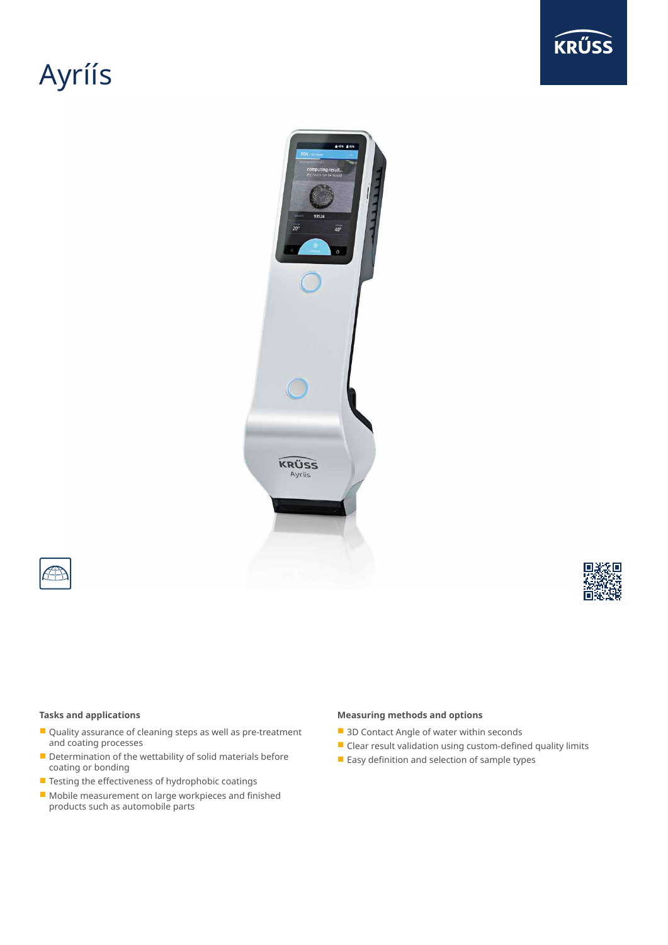# Ayríís







### **Tasks and applications**

- Quality assurance of cleaning steps as well as pre-treatment and coating processes
- Determination of the wettability of solid materials before coating or bonding
- Testing the effectiveness of hydrophobic coatings
- Mobile measurement on large workpieces and finished products such as automobile parts

### **Measuring methods and options**

- 3D Contact Angle of water within seconds
- Clear result validation using custom-defined quality limits
- Easy definition and selection of sample types